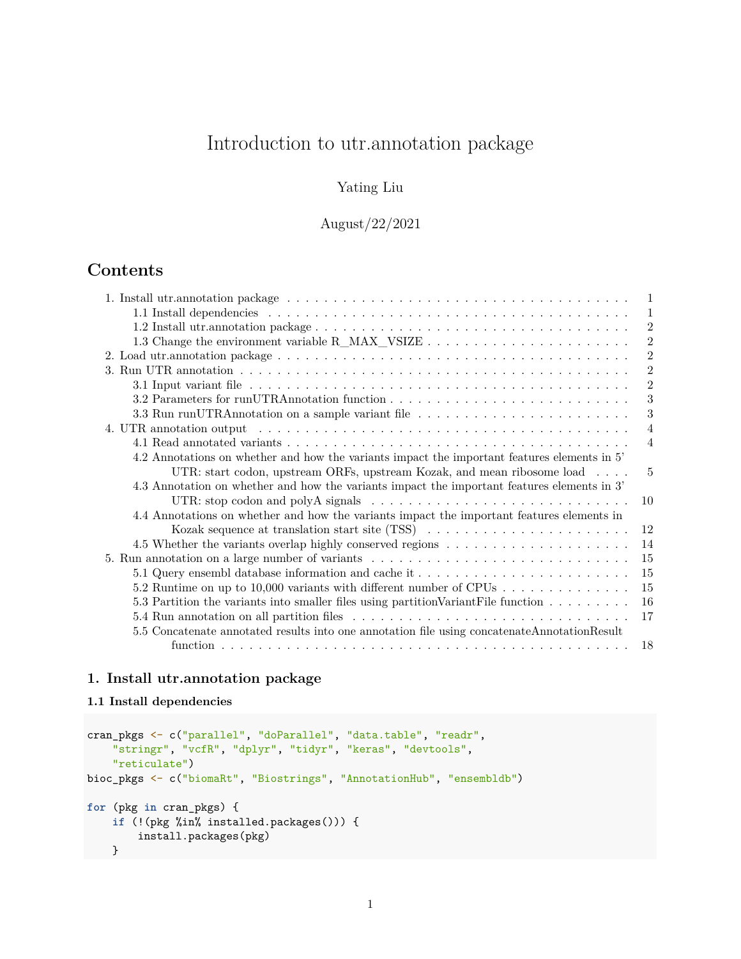# Introduction to utr.annotation package

## Yating Liu

August/22/2021

## **Contents**

| 1                                                                                                                                                                                                                                                |
|--------------------------------------------------------------------------------------------------------------------------------------------------------------------------------------------------------------------------------------------------|
| 1                                                                                                                                                                                                                                                |
| $\overline{2}$                                                                                                                                                                                                                                   |
| $\overline{2}$                                                                                                                                                                                                                                   |
| $\overline{2}$                                                                                                                                                                                                                                   |
| $\overline{2}$                                                                                                                                                                                                                                   |
| $\overline{2}$                                                                                                                                                                                                                                   |
| 3                                                                                                                                                                                                                                                |
| 3<br>3.3 Run runUTRAnnotation on a sample variant file                                                                                                                                                                                           |
| $\overline{4}$<br>4. UTR annotation output entering in the series of the series of the series of the series of the series of the series of the series of the series of the series of the series of the series of the series of the series of the |
| $\overline{4}$                                                                                                                                                                                                                                   |
| 4.2 Annotations on whether and how the variants impact the important features elements in 5'                                                                                                                                                     |
| UTR: start codon, upstream ORFs, upstream Kozak, and mean ribosome load<br>5                                                                                                                                                                     |
| 4.3 Annotation on whether and how the variants impact the important features elements in 3'                                                                                                                                                      |
| UTR: stop codon and polyA signals $\dots \dots \dots \dots \dots \dots \dots \dots \dots \dots \dots$<br>10                                                                                                                                      |
| 4.4 Annotations on whether and how the variants impact the important features elements in                                                                                                                                                        |
| Kozak sequence at translation start site (TSS) $\ldots \ldots \ldots \ldots \ldots \ldots \ldots \ldots$<br>12                                                                                                                                   |
| 14                                                                                                                                                                                                                                               |
| 15<br>5. Run annotation on a large number of variants                                                                                                                                                                                            |
| 15<br>5.1 Query ensembl database information and cache it                                                                                                                                                                                        |
| 15<br>5.2 Runtime on up to 10,000 variants with different number of CPUs                                                                                                                                                                         |
| 16<br>5.3 Partition the variants into smaller files using partition Variant File function                                                                                                                                                        |
| 17                                                                                                                                                                                                                                               |
| 5.5 Concatenate annotated results into one annotation file using concatenate Annotation Result                                                                                                                                                   |
| -18                                                                                                                                                                                                                                              |

## <span id="page-0-0"></span>**1. Install utr.annotation package**

## <span id="page-0-1"></span>**1.1 Install dependencies**

```
cran_pkgs <- c("parallel", "doParallel", "data.table", "readr",
    "stringr", "vcfR", "dplyr", "tidyr", "keras", "devtools",
    "reticulate")
bioc_pkgs <- c("biomaRt", "Biostrings", "AnnotationHub", "ensembldb")
for (pkg in cran_pkgs) {
    if (!(pkg %in% installed.packages())) {
       install.packages(pkg)
    }
```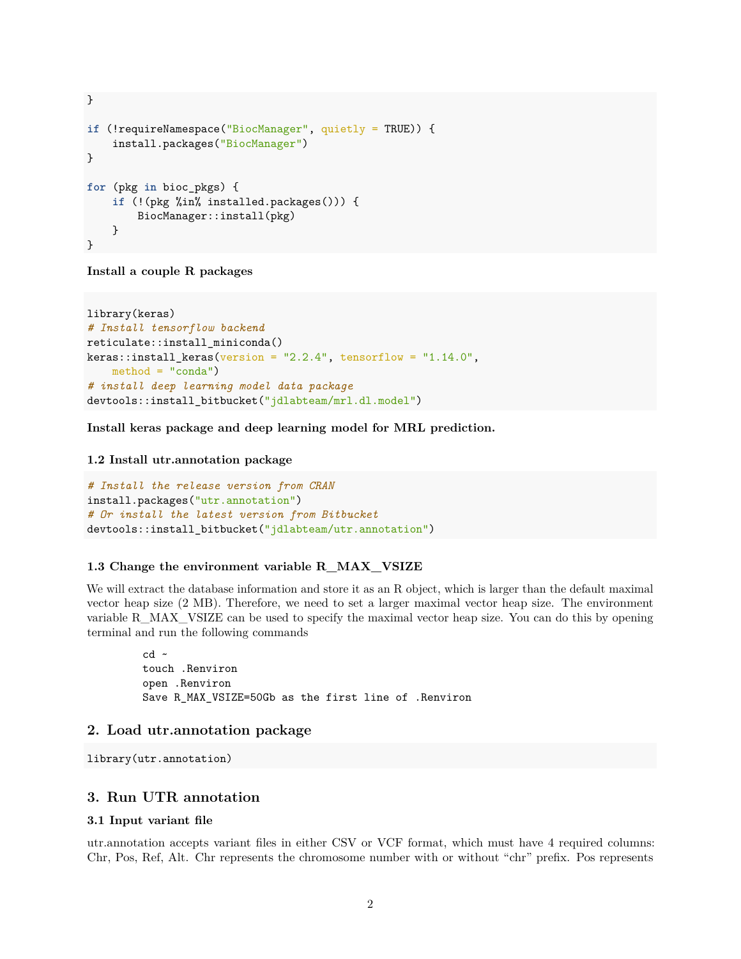```
}
if (!requireNamespace("BiocManager", quietly = TRUE)) {
    install.packages("BiocManager")
}
for (pkg in bioc_pkgs) {
   if (!(pkg %in% installed.packages())) {
       BiocManager::install(pkg)
   }
}
```
**Install a couple R packages**

```
library(keras)
# Install tensorflow backend
reticulate::install_miniconda()
keras::install\_keras(version = "2.2.4", tensorflow = "1.14.0",method = "conda")# install deep learning model data package
devtools::install_bitbucket("jdlabteam/mrl.dl.model")
```
**Install keras package and deep learning model for MRL prediction.**

#### <span id="page-1-0"></span>**1.2 Install utr.annotation package**

```
# Install the release version from CRAN
install.packages("utr.annotation")
# Or install the latest version from Bitbucket
devtools::install_bitbucket("jdlabteam/utr.annotation")
```
#### <span id="page-1-1"></span>**1.3 Change the environment variable R\_MAX\_VSIZE**

We will extract the database information and store it as an R object, which is larger than the default maximal vector heap size (2 MB). Therefore, we need to set a larger maximal vector heap size. The environment variable R\_MAX\_VSIZE can be used to specify the maximal vector heap size. You can do this by opening terminal and run the following commands

 $cd$   $\sim$ touch .Renviron open .Renviron Save R\_MAX\_VSIZE=50Gb as the first line of .Renviron

#### <span id="page-1-2"></span>**2. Load utr.annotation package**

```
library(utr.annotation)
```
## <span id="page-1-3"></span>**3. Run UTR annotation**

#### <span id="page-1-4"></span>**3.1 Input variant file**

utr.annotation accepts variant files in either CSV or VCF format, which must have 4 required columns: Chr, Pos, Ref, Alt. Chr represents the chromosome number with or without "chr" prefix. Pos represents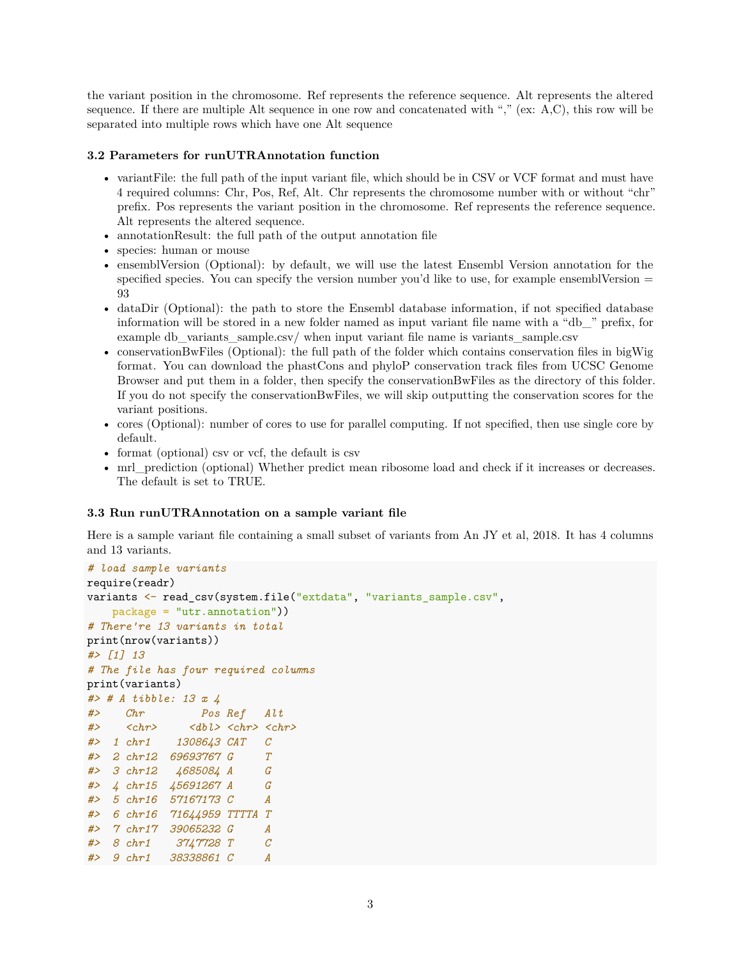the variant position in the chromosome. Ref represents the reference sequence. Alt represents the altered sequence. If there are multiple Alt sequence in one row and concatenated with "," (ex: A,C), this row will be separated into multiple rows which have one Alt sequence

#### <span id="page-2-0"></span>**3.2 Parameters for runUTRAnnotation function**

- variant File: the full path of the input variant file, which should be in CSV or VCF format and must have 4 required columns: Chr, Pos, Ref, Alt. Chr represents the chromosome number with or without "chr" prefix. Pos represents the variant position in the chromosome. Ref represents the reference sequence. Alt represents the altered sequence.
- annotationResult: the full path of the output annotation file
- species: human or mouse
- ensemblVersion (Optional): by default, we will use the latest Ensembl Version annotation for the specified species. You can specify the version number you'd like to use, for example ensembl Version  $=$ 93
- dataDir (Optional): the path to store the Ensembl database information, if not specified database information will be stored in a new folder named as input variant file name with a "db\_" prefix, for example db\_variants\_sample.csv/ when input variant file name is variants\_sample.csv
- conservationBwFiles (Optional): the full path of the folder which contains conservation files in bigWig format. You can download the phastCons and phyloP conservation track files from UCSC Genome Browser and put them in a folder, then specify the conservationBwFiles as the directory of this folder. If you do not specify the conservationBwFiles, we will skip outputting the conservation scores for the variant positions.
- cores (Optional): number of cores to use for parallel computing. If not specified, then use single core by default.
- format (optional) csv or vcf, the default is csv
- mrl\_prediction (optional) Whether predict mean ribosome load and check if it increases or decreases. The default is set to TRUE.

#### <span id="page-2-1"></span>**3.3 Run runUTRAnnotation on a sample variant file**

Here is a sample variant file containing a small subset of variants from [An JY et al, 2018.](https://pubmed.ncbi.nlm.nih.gov/30545852/) It has 4 columns and 13 variants.

```
# load sample variants
require(readr)
variants <- read_csv(system.file("extdata", "variants_sample.csv",
   package = "utr.annotation"))
# There're 13 variants in total
print(nrow(variants))
#> [1] 13
# The file has four required columns
print(variants)
#> # A tibble: 13 x 4
#> Chr Pos Ref Alt
#> <chr> <dbl> <chr> <chr>
#> 1 chr1 1308643 CAT C
#> 2 chr12 69693767 G T
#> 3 chr12 4685084 A G
#> 4 chr15 45691267 A G
#> 5 chr16 57167173 C A
#> 6 chr16 71644959 TTTTA T
#> 7 chr17 39065232 G A
#> 8 chr1 3747728 T C
#> 9 chr1 38338861 C A
```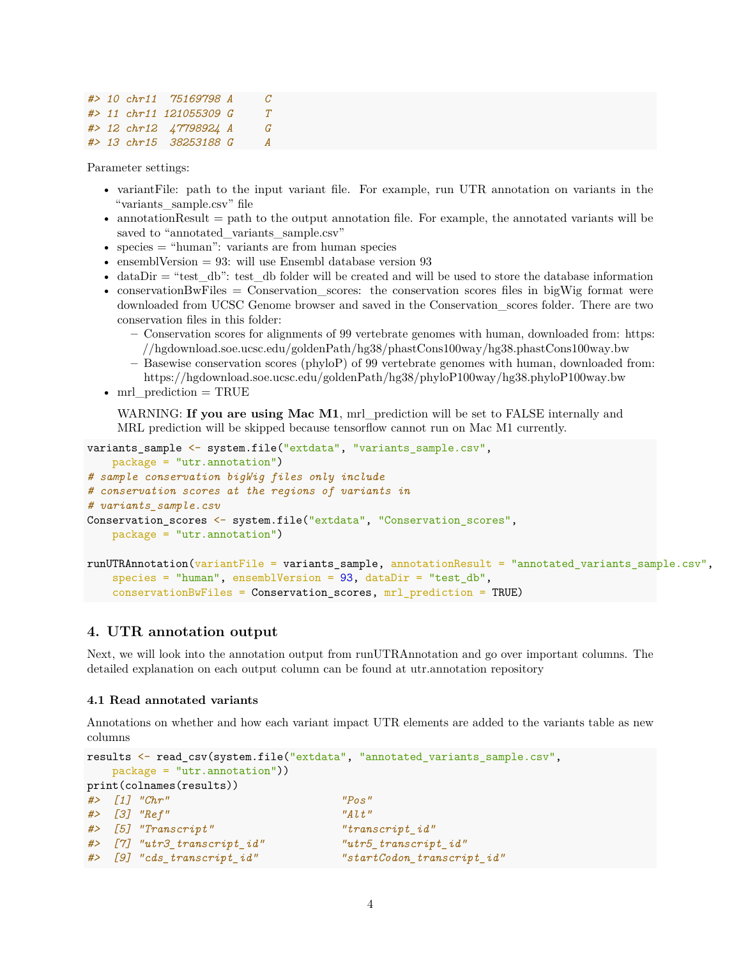```
#> 10 chr11 75169798 A C
#> 11 chr11 121055309 G T
#> 12 chr12 47798924 A G
#> 13 chr15 38253188 G A
```
Parameter settings:

- variantFile: path to the input variant file. For example, run UTR annotation on variants in the "variants\_sample.csv" file
- $\bullet$  annotation Result  $=$  path to the output annotation file. For example, the annotated variants will be saved to "annotated\_variants\_sample.csv"
- species = "human": variants are from human species
- ensembl $Version = 93$ : will use Ensembl database version 93
- dataDir  $=$  "test db": test db folder will be created and will be used to store the database information
- conservationBwFiles = Conservation scores: the conservation scores files in bigWig format were downloaded from UCSC Genome browser and saved in the Conservation\_scores folder. There are two conservation files in this folder:
	- **–** Conservation scores for alignments of 99 vertebrate genomes with human, downloaded from: [https:](https://hgdownload.soe.ucsc.edu/goldenPath/hg38/phastCons100way/hg38.phastCons100way.bw) [//hgdownload.soe.ucsc.edu/goldenPath/hg38/phastCons100way/hg38.phastCons100way.bw](https://hgdownload.soe.ucsc.edu/goldenPath/hg38/phastCons100way/hg38.phastCons100way.bw)
	- **–** Basewise conservation scores (phyloP) of 99 vertebrate genomes with human, downloaded from: <https://hgdownload.soe.ucsc.edu/goldenPath/hg38/phyloP100way/hg38.phyloP100way.bw>
- mrl\_prediction = TRUE

WARNING: If you are using Mac M1, mrl\_prediction will be set to FALSE internally and MRL prediction will be skipped because tensorflow cannot run on Mac M1 currently.

```
variants sample <- system.file("extdata", "variants sample.csv",
    package = "utr.annotation")
# sample conservation bigWig files only include
# conservation scores at the regions of variants in
# variants_sample.csv
Conservation_scores <- system.file("extdata", "Conservation_scores",
   package = "utr.annotation")
runUTRAnnotation(variantFile = variants_sample, annotationResult = "annotated_variants_sample.csv",
    species = "human", ensemblVersion = 93, dataDir = "test_db",
```

```
conservationBwFiles = Conservation_scores, mrl_prediction = TRUE)
```
## <span id="page-3-0"></span>**4. UTR annotation output**

Next, we will look into the annotation output from runUTRAnnotation and go over important columns. The detailed explanation on each output column can be found at [utr.annotation repository](https://bitbucket.org/jdlabteam/utr.annotation/src/master/)

#### <span id="page-3-1"></span>**4.1 Read annotated variants**

Annotations on whether and how each variant impact UTR elements are added to the variants table as new columns

```
results <- read_csv(system.file("extdata", "annotated_variants_sample.csv",
  package = "utr.annotation"))
print(colnames(results))
#> [1] "Chr" "Pos"
#> [3] "Ref" "Alt"
#> [5] "Transcript" "transcript_id"
#> [7] "utr3_transcript_id" "utr5_transcript_id"
#> [9] "cds_transcript_id" "startCodon_transcript_id"
```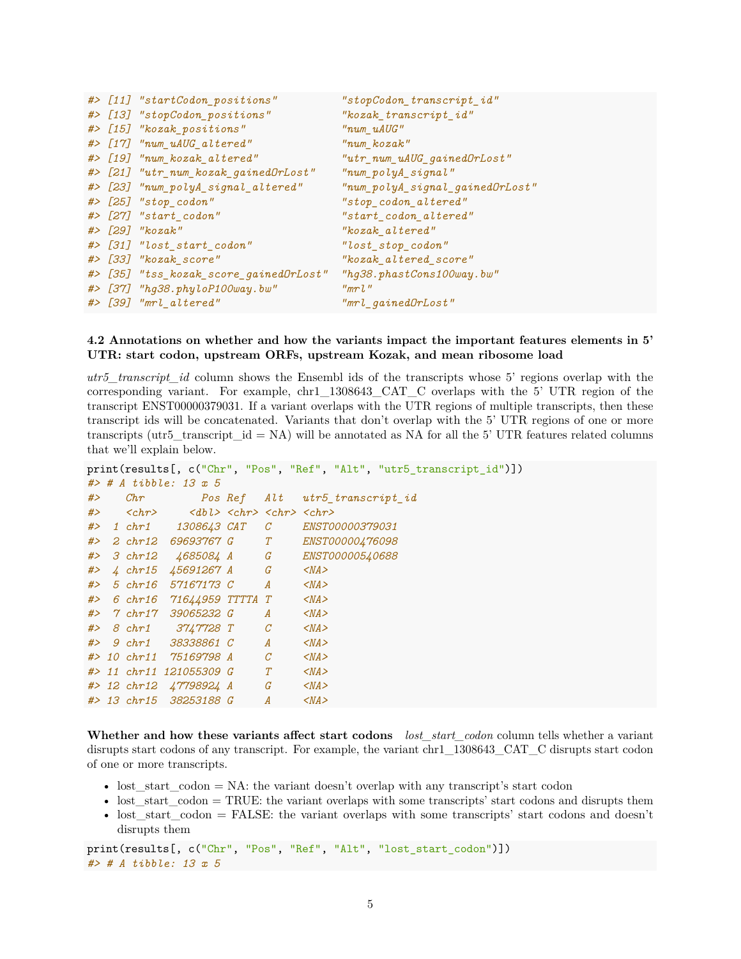|  | #> [11] "startCodon_positions"         | "stopCodon_transcript_id"                                          |
|--|----------------------------------------|--------------------------------------------------------------------|
|  | #> [13] "stopCodon_positions"          | "kozak_transcript_id"                                              |
|  | #> [15] "kozak_positions"              | "num_uAUG"                                                         |
|  | #> [17] "num_uAUG_altered"             | "num kozak"                                                        |
|  | #> [19] "num_kozak_altered"            | $"utr\_num\_uAUG\_gainedOrlost"$                                   |
|  | #> [21] "utr_num_kozak_gainedOrLost"   | $"num\_polyA\_signal$ "                                            |
|  | #> [23] "num_polyA_signal_altered"     | $\label{thm:main} \textit{``num\_polyA\_signal\_gainedOrLost\,''}$ |
|  | #> [25] "stop_codon"                   | "stop_codon_altered"                                               |
|  | #> [27] "start_codon"                  | "start_codon_altered"                                              |
|  | #> [29] "kozak"                        | "kozak altered"                                                    |
|  | #> [31] "lost_start_codon"             | "lost_stop_codon"                                                  |
|  | #> [33] "kozak_score"                  | "kozak_altered_score"                                              |
|  | #> [35] "tss_kozak_score_gainedDrLost" | "hg38.phastCons100way.bw"                                          |
|  | #> [37] "hg38.phyloP100way.bw"         | "mrl"                                                              |
|  | #> [39] "mrl_altered"                  | "mrl_gainedOrLost"                                                 |

#### <span id="page-4-0"></span>**4.2 Annotations on whether and how the variants impact the important features elements in 5' UTR: start codon, upstream ORFs, upstream Kozak, and mean ribosome load**

*utr5\_transcript\_id* column shows the Ensembl ids of the transcripts whose 5' regions overlap with the corresponding variant. For example, chr1\_1308643\_CAT\_C overlaps with the 5' UTR region of the transcript ENST00000379031. If a variant overlaps with the UTR regions of multiple transcripts, then these transcript ids will be concatenated. Variants that don't overlap with the 5' UTR regions of one or more transcripts (utr5\_transcript\_id = NA) will be annotated as NA for all the 5' UTR features related columns that we'll explain below.

```
print(results[, c("Chr", "Pos", "Ref", "Alt", "utr5_transcript_id")])
#> # A tibble: 13 x 5
#> Chr Pos Ref Alt utr5_transcript_id
#> <chr> <dbl> <chr> <chr> <chr>
#> 1 chr1 1308643 CAT C ENST00000379031
#> 2 chr12 69693767 G T ENST00000476098
#> 3 chr12 4685084 A G ENST00000540688
#> 4 chr15 45691267 A G <NA>
#> 5 chr16 57167173 C A <NA>
#> 6 chr16 71644959 TTTTA T <NA>
#> 7 chr17 39065232 G A <NA>
#> 8 chr1 3747728 T C <NA>
#> 9 chr1 38338861 C A <NA>
#> 10 chr11 75169798 A C <NA>
#> 11 chr11 121055309 G T <NA>
#> 12 chr12 47798924 A G <NA>
#> 13 chr15 38253188 G A <NA>
```
**Whether and how these variants affect start codons** *lost\_start\_codon* column tells whether a variant disrupts start codons of any transcript. For example, the variant chr1\_1308643\_CAT\_C disrupts start codon of one or more transcripts.

- lost\_start\_codon = NA: the variant doesn't overlap with any transcript's start codon
- lost start  $\text{codon} = \text{TRUE}$ : the variant overlaps with some transcripts' start codons and disrupts them
- lost\_start\_codon = FALSE: the variant overlaps with some transcripts' start codons and doesn't disrupts them

print(results[, c("Chr", "Pos", "Ref", "Alt", "lost\_start\_codon")]) *#> # A tibble: 13 x 5*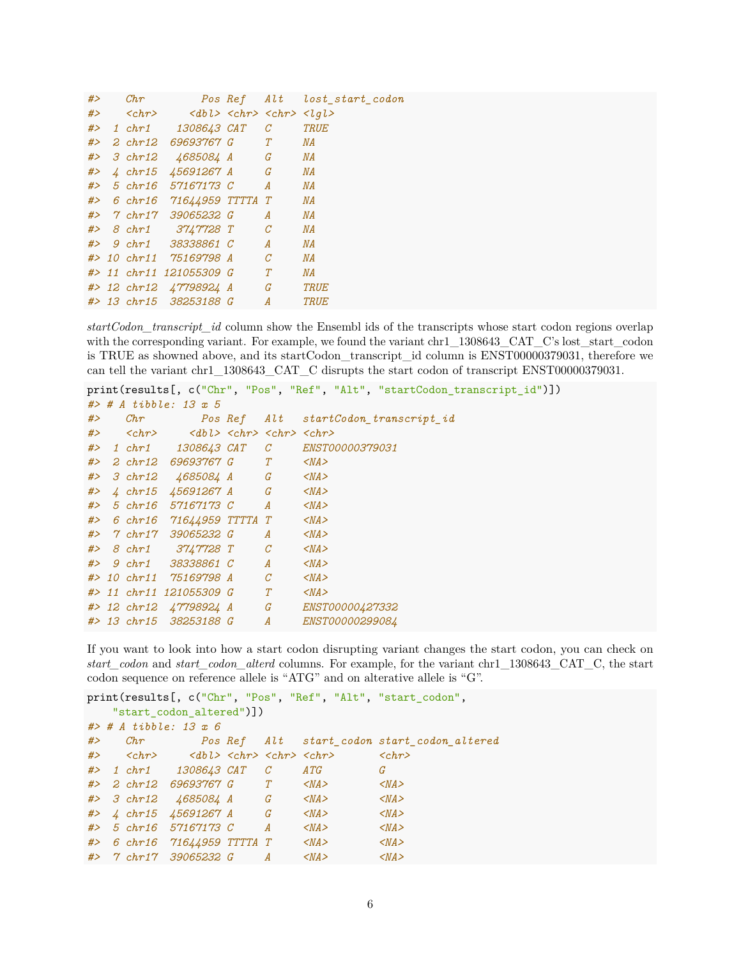| # $>$ | ${\it Chr}$                  |                                                                                         |   |                  | Pos Ref Alt lost start codon |
|-------|------------------------------|-----------------------------------------------------------------------------------------|---|------------------|------------------------------|
|       | $#$ > $chr$ >                | $\langle dbl \rangle$ $\langle chr \rangle$ $\langle chr \rangle$ $\langle lql \rangle$ |   |                  |                              |
|       |                              | #> 1 chr1 1308643 CAT                                                                   |   | $\mathcal C$     | <b>TRUE</b>                  |
| # $>$ | $2 \; chr12$                 | 69693767 G T                                                                            |   |                  | $\mathit{NA}$                |
| #>    |                              | 3 chr12 4685084 A G                                                                     |   |                  | $\mathit{NA}$                |
| # $>$ |                              | $4 \; chr15 \; 45691267 \; A \qquad G$                                                  |   |                  | ΝA                           |
|       |                              | #> 5 chr16 57167173 C                                                                   |   | $\boldsymbol{A}$ | $\it{NA}$                    |
|       |                              | #> 6 chr16 71644959 TTTTA T                                                             |   |                  | $\mathit{NA}$                |
|       | $#$ > $\gamma$ chr1 $\gamma$ | 39065232 G                                                                              |   | $\overline{A}$   | $\mathit{NA}$                |
|       |                              | #> 8 chr1 3747728 T C                                                                   |   |                  | $\mathit{NA}$                |
|       |                              | #> 9 chr1 38338861 C                                                                    |   | $\boldsymbol{A}$ | $\mathit{NA}$                |
|       |                              | #> 10 chr11 75169798 A                                                                  |   | $\mathcal{C}$    | $\mathit{NA}$                |
|       |                              | #> 11 chr11 121055309 G                                                                 | T |                  | $\mathit{NA}$                |
|       |                              | #> 12 chr12 47798924 A G                                                                |   |                  | <b>TRUE</b>                  |
|       |                              | #> 13 chr15 38253188 G                                                                  |   | $\boldsymbol{A}$ | <b>TRUE</b>                  |

*startCodon\_transcript\_id* column show the Ensembl ids of the transcripts whose start codon regions overlap with the corresponding variant. For example, we found the variant chr1 1308643 CAT C's lost start codon is TRUE as showned above, and its startCodon\_transcript\_id column is ENST00000379031, therefore we can tell the variant chr1\_1308643\_CAT\_C disrupts the start codon of transcript ENST00000379031.

```
print(results[, c("Chr", "Pos", "Ref", "Alt", "startCodon_transcript_id")])
#> # A tibble: 13 x 5
#> Chr Pos Ref Alt startCodon_transcript_id
#> <chr> <dbl> <chr> <chr> <chr>
#> 1 chr1 1308643 CAT C ENST00000379031
#> 2 chr12 69693767 G T <NA>
#> 3 chr12 4685084 A G <NA>
#> 4 chr15 45691267 A G <NA>
#> 5 chr16 57167173 C A <NA>
#> 6 chr16 71644959 TTTTA T <NA>
#> 7 chr17 39065232 G A <NA>
#> 8 chr1 3747728 T C <NA>
#> 9 chr1 38338861 C A <NA>
#> 10 chr11 75169798 A C <NA>
#> 11 chr11 121055309 G T <NA>
#> 12 chr12 47798924 A G ENST00000427332
#> 13 chr15 38253188 G A ENST00000299084
```
If you want to look into how a start codon disrupting variant changes the start codon, you can check on *start\_codon* and *start\_codon\_alterd* columns. For example, for the variant chr1\_1308643\_CAT\_C, the start codon sequence on reference allele is "ATG" and on alterative allele is "G".

```
print(results[, c("Chr", "Pos", "Ref", "Alt", "start_codon",
   "start_codon_altered")])
#> # A tibble: 13 x 6
#> Chr Pos Ref Alt start_codon start_codon_altered
#> <chr> <dbl> <chr> <chr> <chr> <chr>
#> 1 chr1 1308643 CAT C ATG G
#> 2 chr12 69693767 G T <NA> <NA>
#> 3 chr12 4685084 A G <NA> <NA>
#> 4 chr15 45691267 A G <NA> <NA>
#> 5 chr16 57167173 C A <NA> <NA>
#> 6 chr16 71644959 TTTTA T <NA> <NA>
#> 7 chr17 39065232 G A <NA> <NA>
```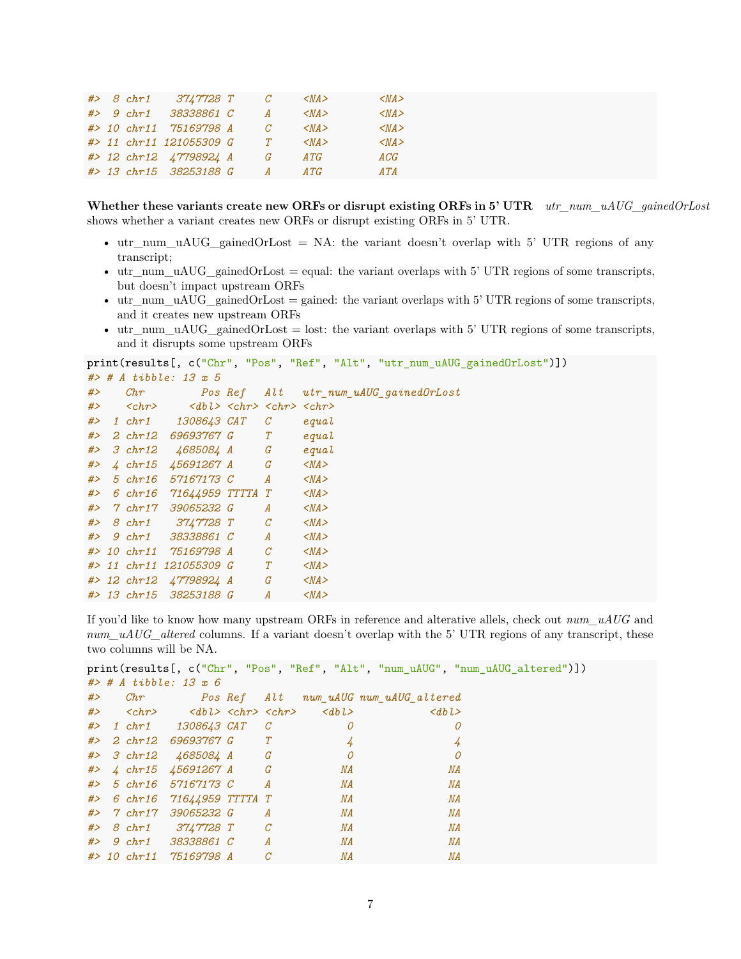|  | $#> 8 \text{ chr1}$ | 3747728 T               | С             | $<$ NA $>$ | $<$ NA $>$ |
|--|---------------------|-------------------------|---------------|------------|------------|
|  |                     | #> 9 chr1 38338861 C    | A             | $<$ NA $>$ | $<$ NA $>$ |
|  |                     | #> 10 chr11 75169798 A  | $\mathcal{C}$ | $<$ NA $>$ | $<$ NA $>$ |
|  |                     | #> 11 chr11 121055309 G | T             | $<$ NA $>$ | $<$ NA $>$ |
|  |                     | #> 12 chr12 47798924 A  | G             | ATG        | ACG        |
|  |                     | #> 13 chr15 38253188 G  | A             | ATG        | ATA        |

**Whether these variants create new ORFs or disrupt existing ORFs in 5' UTR** *utr\_num\_uAUG\_gainedOrLost* shows whether a variant creates new ORFs or disrupt existing ORFs in 5' UTR.

- utr\_num\_uAUG\_gainedOrLost = NA: the variant doesn't overlap with 5' UTR regions of any transcript;
- utr\_num\_uAUG\_gainedOrLost = equal: the variant overlaps with 5' UTR regions of some transcripts, but doesn't impact upstream ORFs
- utr\_num\_uAUG\_gainedOrLost = gained: the variant overlaps with 5' UTR regions of some transcripts, and it creates new upstream ORFs
- utr\_num\_uAUG\_gainedOrLost = lost: the variant overlaps with 5' UTR regions of some transcripts, and it disrupts some upstream ORFs

```
print(results[, c("Chr", "Pos", "Ref", "Alt", "utr_num_uAUG_gainedOrLost")])
#> # A tibble: 13 x 5
#> Chr Pos Ref Alt utr_num_uAUG_gainedOrLost
#> <chr> <dbl> <chr> <chr> <chr>
#> 1 chr1 1308643 CAT C equal
#> 2 chr12 69693767 G T equal
#> 3 chr12 4685084 A G equal
#> 4 chr15 45691267 A G <NA>
#> 5 chr16 57167173 C A <NA>
#> 6 chr16 71644959 TTTTA T <NA>
#> 7 chr17 39065232 G A <NA>
#> 8 chr1 3747728 T C <NA>
#> 9 chr1 38338861 C A <NA>
#> 10 chr11 75169798 A C <NA>
#> 11 chr11 121055309 G T <NA>
#> 12 chr12 47798924 A G <NA>
#> 13 chr15 38253188 G A <NA>
```
If you'd like to know how many upstream ORFs in reference and alterative allels, check out *num\_uAUG* and *num\_uAUG\_altered* columns. If a variant doesn't overlap with the 5' UTR regions of any transcript, these two columns will be NA.

```
print(results[, c("Chr", "Pos", "Ref", "Alt", "num_uAUG", "num_uAUG_altered")])
#> # A tibble: 13 x 6
#> Chr Pos Ref Alt num_uAUG num_uAUG_altered
#> <chr> <dbl> <chr> <chr> <dbl> <dbl>
#> 1 chr1 1308643 CAT C 0 0
#> 2 chr12 69693767 G T 4 4
#> 3 chr12 4685084 A G 0 0
#> 4 chr15 45691267 A G NA NA
#> 5 chr16 57167173 C A NA NA
#> 6 chr16 71644959 TTTTA T NA NA
#> 7 chr17 39065232 G A NA NA
#> 8 chr1 3747728 T C NA NA
#> 9 chr1 38338861 C A NA NA
#> 10 chr11 75169798 A C NA NA
```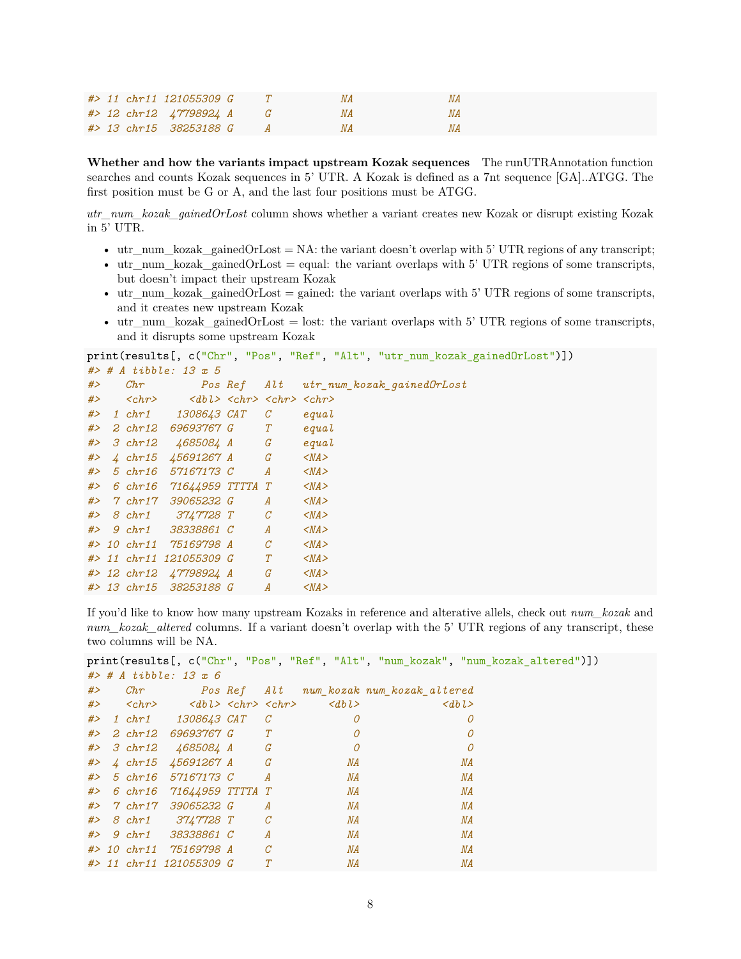|  | #> 11 chr11 121055309 G  |  | ΝA |
|--|--------------------------|--|----|
|  | #> 12 chr12 47798924 A G |  | ΝA |
|  | #> 13 chr15 38253188 G   |  | ΝA |

**Whether and how the variants impact upstream Kozak sequences** The runUTRAnnotation function searches and counts Kozak sequences in 5' UTR. A Kozak is defined as a 7nt sequence [GA]..ATGG. The first position must be G or A, and the last four positions must be ATGG.

*utr\_num\_kozak\_gainedOrLost* column shows whether a variant creates new Kozak or disrupt existing Kozak in 5' UTR.

- utr\_num\_kozak\_gainedOrLost = NA: the variant doesn't overlap with 5' UTR regions of any transcript;
- utr\_num\_kozak\_gainedOrLost = equal: the variant overlaps with 5' UTR regions of some transcripts, but doesn't impact their upstream Kozak
- utr\_num\_kozak\_gainedOrLost = gained: the variant overlaps with 5' UTR regions of some transcripts, and it creates new upstream Kozak
- utr\_num\_kozak\_gainedOrLost = lost: the variant overlaps with 5' UTR regions of some transcripts, and it disrupts some upstream Kozak

```
print(results[, c("Chr", "Pos", "Ref", "Alt", "utr_num_kozak_gainedOrLost")])
#> # A tibble: 13 x 5
#> Chr Pos Ref Alt utr_num_kozak_gainedOrLost
#> <chr> <dbl> <chr> <chr> <chr>
#> 1 chr1 1308643 CAT C equal
#> 2 chr12 69693767 G T equal
#> 3 chr12 4685084 A G equal
#> 4 chr15 45691267 A G <NA>
#> 5 chr16 57167173 C A <NA>
#> 6 chr16 71644959 TTTTA T <NA>
#> 7 chr17 39065232 G A <NA>
#> 8 chr1 3747728 T C <NA>
#> 9 chr1 38338861 C A <NA>
#> 10 chr11 75169798 A C <NA>
#> 11 chr11 121055309 G T <NA>
#> 12 chr12 47798924 A G <NA>
#> 13 chr15 38253188 G A <NA>
```
If you'd like to know how many upstream Kozaks in reference and alterative allels, check out *num\_kozak* and *num\_kozak\_altered* columns. If a variant doesn't overlap with the 5' UTR regions of any transcript, these two columns will be NA.

```
print(results[, c("Chr", "Pos", "Ref", "Alt", "num_kozak", "num_kozak_altered")])
#> # A tibble: 13 x 6
#> Chr Pos Ref Alt num_kozak num_kozak_altered
#> <chr> <dbl> <chr> <chr> <dbl> <dbl>
#> 1 chr1 1308643 CAT C 0 0
#> 2 chr12 69693767 G T 0 0
#> 3 chr12 4685084 A G 0 0
#> 4 chr15 45691267 A G NA NA
#> 5 chr16 57167173 C A NA NA
#> 6 chr16 71644959 TTTTA T NA NA
#> 7 chr17 39065232 G A NA NA
#> 8 chr1 3747728 T C NA NA
#> 9 chr1 38338861 C A NA NA
#> 10 chr11 75169798 A C NA NA
#> 11 chr11 121055309 G T NA NA
```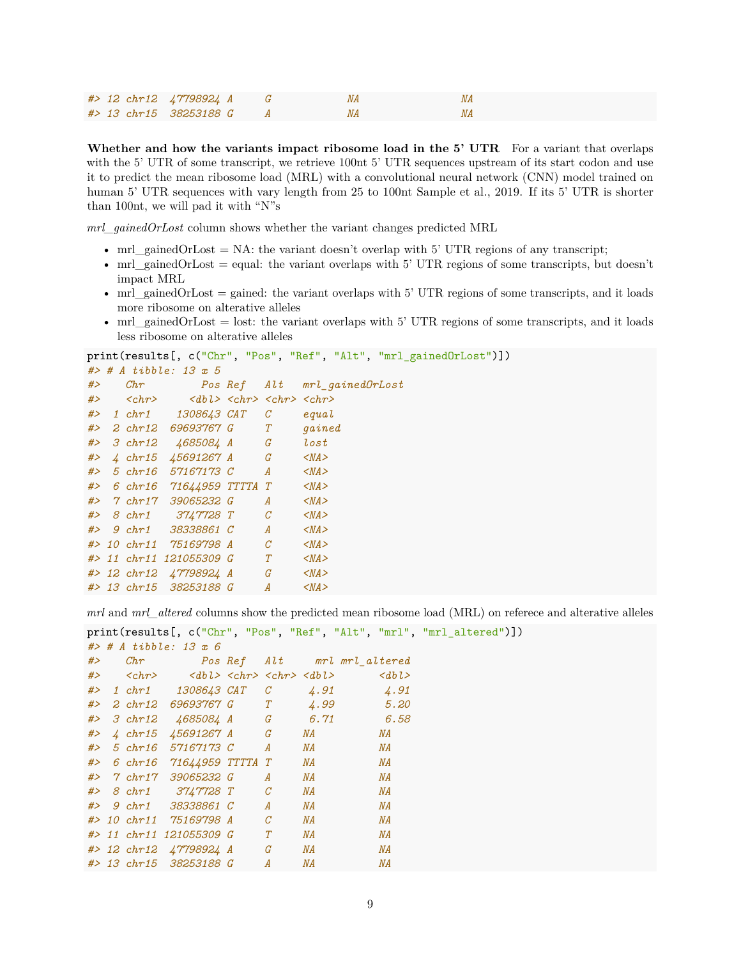|  | #> 12 chr12 47798924 A G |  | ΝA |  |
|--|--------------------------|--|----|--|
|  | #> 13 chr15 38253188 G   |  |    |  |

**Whether and how the variants impact ribosome load in the 5' UTR** For a variant that overlaps with the 5' UTR of some transcript, we retrieve 100nt 5' UTR sequences upstream of its start codon and use it to predict the mean ribosome load (MRL) with a convolutional neural network (CNN) model trained on human 5' UTR sequences with vary length from 25 to 100nt [Sample et al., 2019.](https://pubmed.ncbi.nlm.nih.gov/31267113/) If its 5' UTR is shorter than 100nt, we will pad it with "N"s

*mrl\_gainedOrLost* column shows whether the variant changes predicted MRL

- mrl\_gainedOrLost = NA: the variant doesn't overlap with 5' UTR regions of any transcript;
- mrl\_gained $Or$ Lost = equal: the variant overlaps with 5' UTR regions of some transcripts, but doesn't impact MRL
- mrl\_gainedOrLost = gained: the variant overlaps with 5' UTR regions of some transcripts, and it loads more ribosome on alterative alleles
- mrl\_gainedOrLost = lost: the variant overlaps with 5' UTR regions of some transcripts, and it loads less ribosome on alterative alleles

```
print(results[, c("Chr", "Pos", "Ref", "Alt", "mrl_gainedOrLost")])
#> # A tibble: 13 x 5
#> Chr Pos Ref Alt mrl_gainedOrLost
#> <chr> <dbl> <chr> <chr> <chr>
#> 1 chr1 1308643 CAT C equal
#> 2 chr12 69693767 G T gained
#> 3 chr12 4685084 A G lost
#> 4 chr15 45691267 A G <NA>
#> 5 chr16 57167173 C A <NA>
#> 6 chr16 71644959 TTTTA T <NA>
#> 7 chr17 39065232 G A <NA>
#> 8 chr1 3747728 T C <NA>
#> 9 chr1 38338861 C A <NA>
#> 10 chr11 75169798 A C <NA>
#> 11 chr11 121055309 G T <NA>
#> 12 chr12 47798924 A G <NA>
#> 13 chr15 38253188 G A <NA>
```
*mrl* and *mrl\_altered* columns show the predicted mean ribosome load (MRL) on referece and alterative alleles

```
print(results[, c("Chr", "Pos", "Ref", "Alt", "mrl", "mrl_altered")])
#> # A tibble: 13 x 6
#> Chr Pos Ref Alt mrl mrl_altered
#> <chr> <dbl> <chr> <chr> <dbl> <dbl>
#> 1 chr1 1308643 CAT C 4.91 4.91
#> 2 chr12 69693767 G T 4.99 5.20
#> 3 chr12 4685084 A G 6.71 6.58
#> 4 chr15 45691267 A G NA NA
#> 5 chr16 57167173 C A NA NA
#> 6 chr16 71644959 TTTTA T NA NA
#> 7 chr17 39065232 G A NA NA
#> 8 chr1 3747728 T C NA NA
#> 9 chr1 38338861 C A NA NA
#> 10 chr11 75169798 A C NA NA
#> 11 chr11 121055309 G T NA NA
#> 12 chr12 47798924 A G NA NA
#> 13 chr15 38253188 G A NA NA
```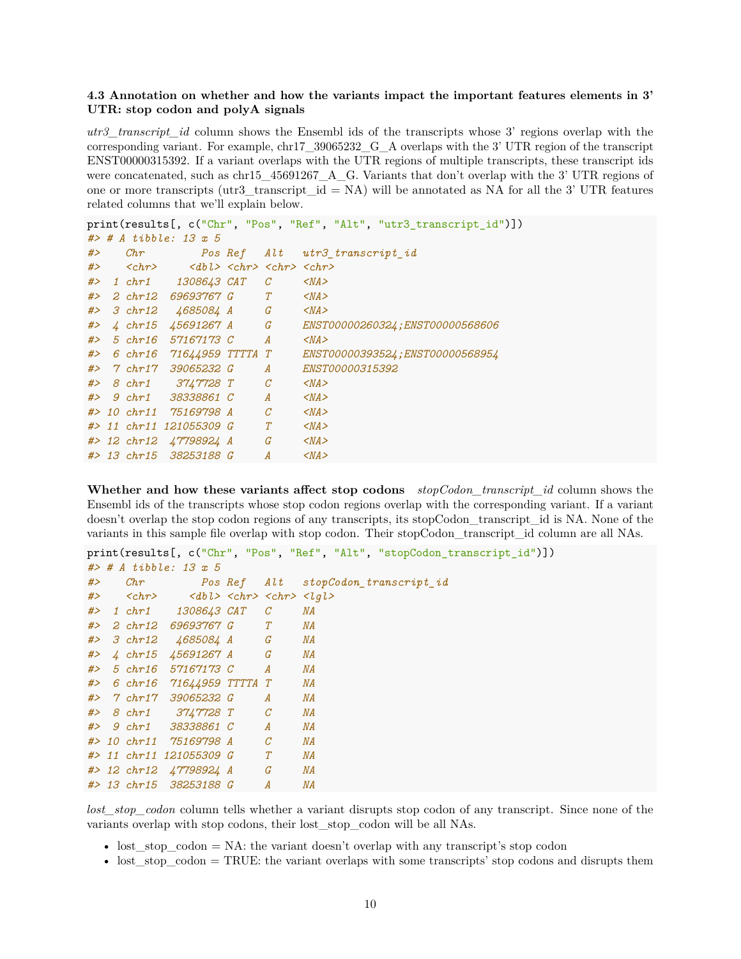#### <span id="page-9-0"></span>**4.3 Annotation on whether and how the variants impact the important features elements in 3' UTR: stop codon and polyA signals**

*utr3\_transcript\_id* column shows the Ensembl ids of the transcripts whose 3' regions overlap with the corresponding variant. For example, chr17\_39065232\_G\_A overlaps with the 3' UTR region of the transcript ENST00000315392. If a variant overlaps with the UTR regions of multiple transcripts, these transcript ids were concatenated, such as chr15  $-45691267$  A G. Variants that don't overlap with the 3' UTR regions of one or more transcripts (utr3\_transcript\_id = NA) will be annotated as NA for all the 3' UTR features related columns that we'll explain below.

```
print(results[, c("Chr", "Pos", "Ref", "Alt", "utr3_transcript_id")])
#> # A tibble: 13 x 5
#> Chr Pos Ref Alt utr3_transcript_id
#> <chr> <dbl> <chr> <chr> <chr>
#> 1 chr1 1308643 CAT C <NA>
#> 2 chr12 69693767 G T <NA>
#> 3 chr12 4685084 A G <NA>
#> 4 chr15 45691267 A G ENST00000260324;ENST00000568606
#> 5 chr16 57167173 C A <NA>
#> 6 chr16 71644959 TTTTA T ENST00000393524;ENST00000568954
#> 7 chr17 39065232 G A ENST00000315392
#> 8 chr1 3747728 T C <NA>
#> 9 chr1 38338861 C A <NA>
#> 10 chr11 75169798 A C <NA>
#> 11 chr11 121055309 G T <NA>
#> 12 chr12 47798924 A G <NA>
#> 13 chr15 38253188 G A <NA>
```
**Whether and how these variants affect stop codons** *stopCodon\_transcript\_id* column shows the Ensembl ids of the transcripts whose stop codon regions overlap with the corresponding variant. If a variant doesn't overlap the stop codon regions of any transcripts, its stopCodon\_transcript\_id is NA. None of the variants in this sample file overlap with stop codon. Their stopCodon\_transcript\_id column are all NAs.

```
print(results[, c("Chr", "Pos", "Ref", "Alt", "stopCodon_transcript_id")])
#> # A tibble: 13 x 5
#> Chr Pos Ref Alt stopCodon_transcript_id
#> <chr> <dbl> <chr> <chr> <lgl>
#> 1 chr1 1308643 CAT C NA
#> 2 chr12 69693767 G T NA
#> 3 chr12 4685084 A G NA
#> 4 chr15 45691267 A G NA
#> 5 chr16 57167173 C A NA
#> 6 chr16 71644959 TTTTA T NA
#> 7 chr17 39065232 G A NA
#> 8 chr1 3747728 T C NA
#> 9 chr1 38338861 C A NA
#> 10 chr11 75169798 A C NA
#> 11 chr11 121055309 G T NA
#> 12 chr12 47798924 A G NA
#> 13 chr15 38253188 G A NA
```
*lost\_stop\_codon* column tells whether a variant disrupts stop codon of any transcript. Since none of the variants overlap with stop codons, their lost\_stop\_codon will be all NAs.

- lost\_stop\_codon = NA: the variant doesn't overlap with any transcript's stop codon
- lost\_stop\_codon = TRUE: the variant overlaps with some transcripts' stop codons and disrupts them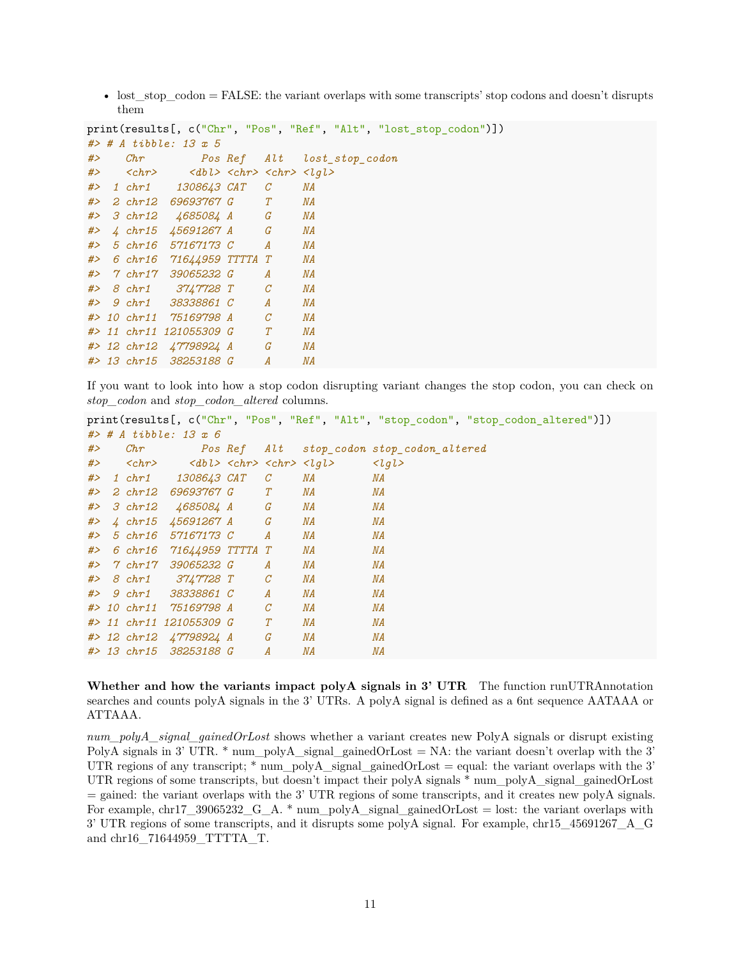• lost  $\sigma$  stop  $\c{codon} = \text{FALSE}$ : the variant overlaps with some transcripts' stop codons and doesn't disrupts them

```
print(results[, c("Chr", "Pos", "Ref", "Alt", "lost_stop_codon")])
#> # A tibble: 13 x 5
#> Chr Pos Ref Alt lost_stop_codon
#> <chr> <dbl> <chr> <chr> <lgl>
#> 1 chr1 1308643 CAT C NA
#> 2 chr12 69693767 G T NA
#> 3 chr12 4685084 A G NA
#> 4 chr15 45691267 A G NA
#> 5 chr16 57167173 C A NA
#> 6 chr16 71644959 TTTTA T NA
#> 7 chr17 39065232 G A NA
#> 8 chr1 3747728 T C NA
#> 9 chr1 38338861 C A NA
#> 10 chr11 75169798 A C NA
#> 11 chr11 121055309 G T NA
#> 12 chr12 47798924 A G NA
#> 13 chr15 38253188 G A NA
```
If you want to look into how a stop codon disrupting variant changes the stop codon, you can check on *stop\_codon* and *stop\_codon\_altered* columns.

```
print(results[, c("Chr", "Pos", "Ref", "Alt", "stop_codon", "stop_codon_altered")])
#> # A tibble: 13 x 6
#> Chr Pos Ref Alt stop_codon stop_codon_altered
#> <chr> <dbl> <chr> <chr> <lgl> <lgl>
#> 1 chr1 1308643 CAT C NA NA
#> 2 chr12 69693767 G T NA NA
#> 3 chr12 4685084 A G NA NA
#> 4 chr15 45691267 A G NA NA
#> 5 chr16 57167173 C A NA NA
#> 6 chr16 71644959 TTTTA T NA NA
#> 7 chr17 39065232 G A NA NA
#> 8 chr1 3747728 T C NA NA
#> 9 chr1 38338861 C A NA NA
#> 10 chr11 75169798 A C NA NA
#> 11 chr11 121055309 G T NA NA
#> 12 chr12 47798924 A G NA NA
#> 13 chr15 38253188 G A NA NA
```
Whether and how the variants impact polyA signals in 3' UTR The function runUTRAnnotation searches and counts polyA signals in the 3' UTRs. A polyA signal is defined as a 6nt sequence AATAAA or ATTAAA.

*num\_polyA\_signal\_gainedOrLost* shows whether a variant creates new PolyA signals or disrupt existing PolyA signals in 3' UTR.  $*$  num\_polyA\_signal\_gainedOrLost = NA: the variant doesn't overlap with the 3' UTR regions of any transcript;  $*$  num\_polyA\_signal\_gainedOrLost = equal: the variant overlaps with the 3' UTR regions of some transcripts, but doesn't impact their polyA signals \* num\_polyA\_signal\_gainedOrLost = gained: the variant overlaps with the 3' UTR regions of some transcripts, and it creates new polyA signals. For example, chr17\_39065232\_G\_A. \* num\_polyA\_signal\_gainedOrLost = lost: the variant overlaps with 3' UTR regions of some transcripts, and it disrupts some polyA signal. For example, chr15\_45691267\_A\_G and chr16\_71644959\_TTTTA\_T.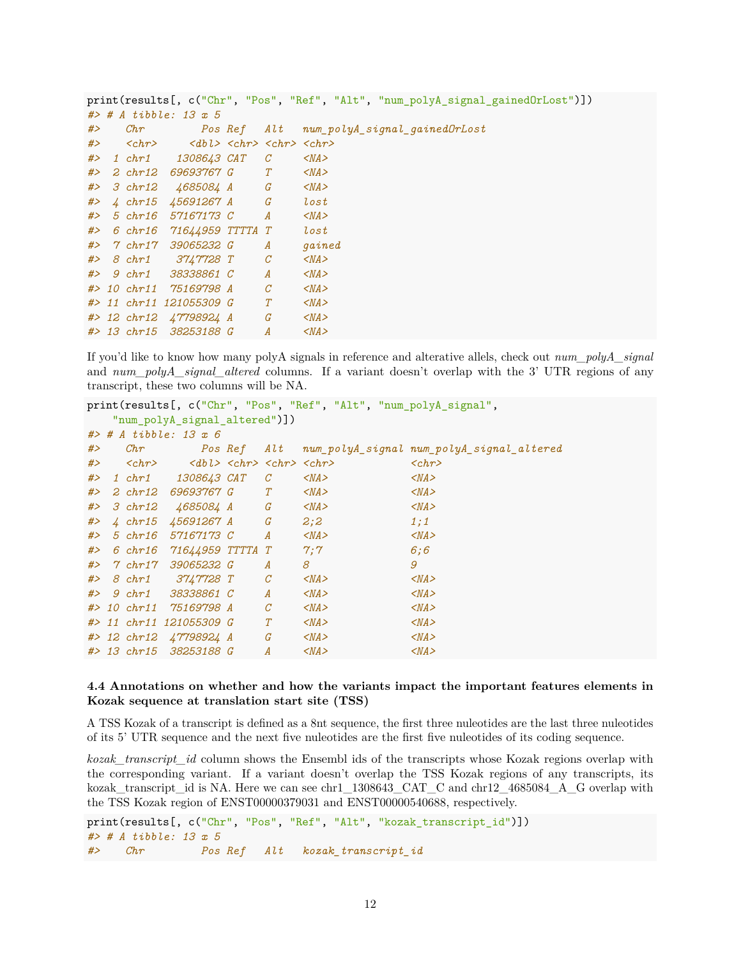```
print(results[, c("Chr", "Pos", "Ref", "Alt", "num_polyA_signal_gainedOrLost")])
#> # A tibble: 13 x 5
#> Chr Pos Ref Alt num_polyA_signal_gainedOrLost
#> <chr> <dbl> <chr> <chr> <chr>
#> 1 chr1 1308643 CAT C <NA>
#> 2 chr12 69693767 G T <NA>
#> 3 chr12 4685084 A G <NA>
#> 4 chr15 45691267 A G lost
#> 5 chr16 57167173 C A <NA>
#> 6 chr16 71644959 TTTTA T lost
#> 7 chr17 39065232 G A gained
#> 8 chr1 3747728 T C <NA>
#> 9 chr1 38338861 C A <NA>
#> 10 chr11 75169798 A C <NA>
#> 11 chr11 121055309 G T <NA>
#> 12 chr12 47798924 A G <NA>
#> 13 chr15 38253188 G A <NA>
```
If you'd like to know how many polyA signals in reference and alterative allels, check out *num\_polyA\_signal* and *num\_polyA\_signal\_altered* columns. If a variant doesn't overlap with the 3' UTR regions of any transcript, these two columns will be NA.

```
print(results[, c("Chr", "Pos", "Ref", "Alt", "num_polyA_signal",
  "num_polyA_signal_altered")])
#> # A tibble: 13 x 6
#> Chr Pos Ref Alt num_polyA_signal num_polyA_signal_altered
#> <chr> <dbl> <chr> <chr> <chr> <chr>
#> 1 chr1 1308643 CAT C <NA> <NA>
#> 2 chr12 69693767 G T <NA> <NA>
#> 3 chr12 4685084 A G <NA> <NA>
#> 4 chr15 45691267 A G 2;2 1;1
#> 5 chr16 57167173 C A <NA> <NA>
#> 6 chr16 71644959 TTTTA T 7;7 6;6
#> 7 chr17 39065232 G A 8 9
#> 8 chr1 3747728 T C <NA> <NA>
#> 9 chr1 38338861 C A <NA> <NA>
#> 10 chr11 75169798 A C <NA> <NA>
#> 11 chr11 121055309 G T <NA> <NA>
#> 12 chr12 47798924 A G <NA> <NA>
#> 13 chr15 38253188 G A <NA> <NA>
```
### <span id="page-11-0"></span>**4.4 Annotations on whether and how the variants impact the important features elements in Kozak sequence at translation start site (TSS)**

A TSS Kozak of a transcript is defined as a 8nt sequence, the first three nuleotides are the last three nuleotides of its 5' UTR sequence and the next five nuleotides are the first five nuleotides of its coding sequence.

*kozak\_transcript\_id* column shows the Ensembl ids of the transcripts whose Kozak regions overlap with the corresponding variant. If a variant doesn't overlap the TSS Kozak regions of any transcripts, its kozak\_transcript\_id is NA. Here we can see chr1\_1308643\_CAT\_C and chr12\_4685084\_A\_G overlap with the TSS Kozak region of ENST00000379031 and ENST00000540688, respectively.

```
print(results[, c("Chr", "Pos", "Ref", "Alt", "kozak transcript id")])
#> # A tibble: 13 x 5
#> Chr Pos Ref Alt kozak_transcript_id
```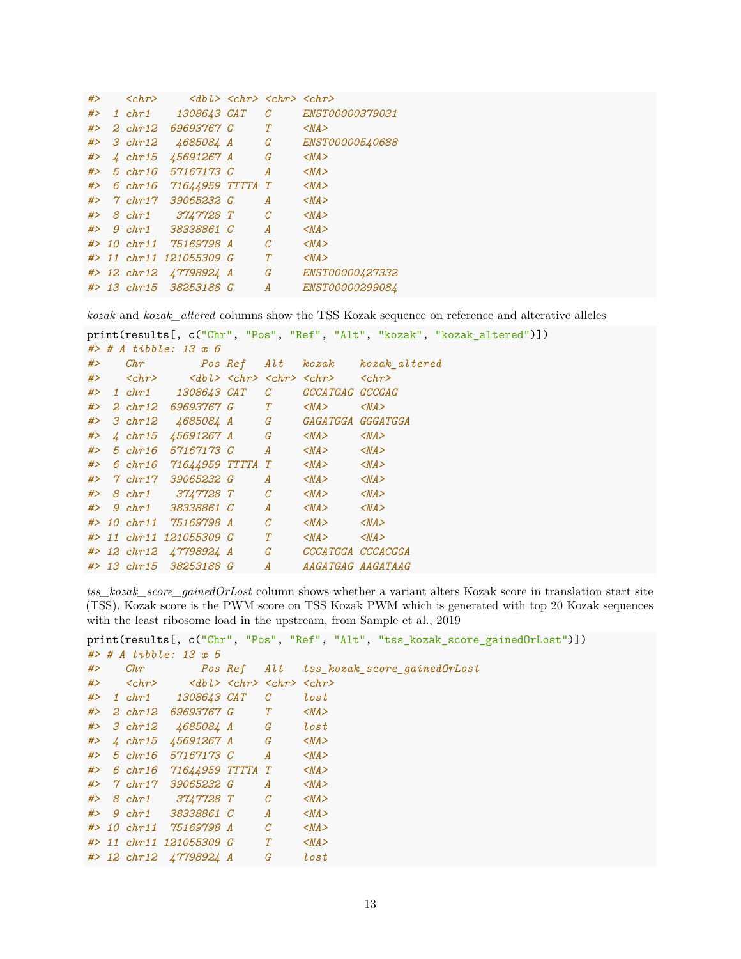```
#> <chr> <dbl> <chr> <chr> <chr>
#> 1 chr1 1308643 CAT C ENST00000379031
#> 2 chr12 69693767 G T <NA>
#> 3 chr12 4685084 A G ENST00000540688
#> 4 chr15 45691267 A G <NA>
#> 5 chr16 57167173 C A <NA>
#> 6 chr16 71644959 TTTTA T <NA>
#> 7 chr17 39065232 G A <NA>
#> 8 chr1 3747728 T C <NA>
#> 9 chr1 38338861 C A <NA>
#> 10 chr11 75169798 A C <NA>
#> 11 chr11 121055309 G T <NA>
#> 12 chr12 47798924 A G ENST00000427332
#> 13 chr15 38253188 G A ENST00000299084
```
*kozak* and *kozak\_altered* columns show the TSS Kozak sequence on reference and alterative alleles

```
print(results[, c("Chr", "Pos", "Ref", "Alt", "kozak", "kozak_altered")])
#> # A tibble: 13 x 6
#> Chr Pos Ref Alt kozak kozak_altered
#> <chr> <dbl> <chr> <chr> <chr> <chr>
#> 1 chr1 1308643 CAT C GCCATGAG GCCGAG
#> 2 chr12 69693767 G T <NA> <NA>
#> 3 chr12 4685084 A G GAGATGGA GGGATGGA
#> 4 chr15 45691267 A G <NA> <NA>
#> 5 chr16 57167173 C A <NA> <NA>
#> 6 chr16 71644959 TTTTA T <NA> <NA>
#> 7 chr17 39065232 G A <NA> <NA>
#> 8 chr1 3747728 T C <NA> <NA>
#> 9 chr1 38338861 C A <NA> <NA>
#> 10 chr11 75169798 A C <NA> <NA>
#> 11 chr11 121055309 G T <NA> <NA>
#> 12 chr12 47798924 A G CCCATGGA CCCACGGA
#> 13 chr15 38253188 G A AAGATGAG AAGATAAG
```
*tss\_kozak\_score\_gainedOrLost* column shows whether a variant alters Kozak score in translation start site (TSS). Kozak score is the PWM score on TSS Kozak PWM which is generated with top 20 Kozak sequences with the least ribosome load in the upstream, from [Sample et al., 2019](https://pubmed.ncbi.nlm.nih.gov/31267113/)

```
print(results[, c("Chr", "Pos", "Ref", "Alt", "tss_kozak_score_gainedOrLost")])
#> # A tibble: 13 x 5
```

|    |                       | $H$ $\sim$ $H$ $\sim$ $L$ $\sim$ $L$ $\sim$ $L$ $\sim$ $L$ $\sim$ $L$ $\sim$ $L$ $\sim$ $L$ $\sim$ $L$ $\sim$ $L$ $\sim$ $L$ $\sim$ $L$ $\sim$ $L$ $\sim$ $L$ $\sim$ $L$ $\sim$ $L$ $\sim$ $L$ $\sim$ $L$ $\sim$ $L$ $\sim$ $L$ $\sim$ $L$ $\sim$ $L$ $\sim$ $L$ $\sim$ $L$ |                |                  |                                   |
|----|-----------------------|-----------------------------------------------------------------------------------------------------------------------------------------------------------------------------------------------------------------------------------------------------------------------------|----------------|------------------|-----------------------------------|
| #> | Chr                   |                                                                                                                                                                                                                                                                             | <i>Pos Ref</i> |                  | Alt tss kozak score gained OrLost |
| #> | $\langle chr \rangle$ | $<$ dbl> $<$ chr> $<$ chr> $<$ chr>                                                                                                                                                                                                                                         |                |                  |                                   |
| #> | $1 \; chr1$           | 1308643 CAT                                                                                                                                                                                                                                                                 |                | $\mathcal C$     | lost                              |
| #> | $2 \; chr12$          | 69693767 G                                                                                                                                                                                                                                                                  |                | T                | $<$ NA $>$                        |
| #> | $3 \chr12$            | 4685084 A G                                                                                                                                                                                                                                                                 |                |                  | lost                              |
| #> | $\mu$ chr15           | <i>45691267 A</i>                                                                                                                                                                                                                                                           | G              |                  | $<$ NA $>$                        |
| #> | $5 \chr16$            | 57167173 C                                                                                                                                                                                                                                                                  |                | $\boldsymbol{A}$ | $<$ NA $>$                        |
| #> |                       | 6 chr16 71644959 TTTTA                                                                                                                                                                                                                                                      |                | T                | $<$ NA $>$                        |
| #> | $7$ chr17             | 39065232 G                                                                                                                                                                                                                                                                  |                | A                | $<$ NA $>$                        |
|    |                       | #> 8 chr1 3747728 T                                                                                                                                                                                                                                                         |                | $\mathcal{C}$    | $<$ NA $>$                        |
|    | $#$ 9 chr1            | 38338861 C                                                                                                                                                                                                                                                                  |                | $\boldsymbol{A}$ | $<$ NA $>$                        |
|    | $# > 10$ chr11        | 75169798 A                                                                                                                                                                                                                                                                  |                | $\mathcal C$     | $<$ NA $>$                        |
|    |                       | #> 11 chr11 121055309 G                                                                                                                                                                                                                                                     |                | T                | $<$ NA $>$                        |
|    |                       | #> 12 chr12 47798924 A                                                                                                                                                                                                                                                      |                | G                | lost                              |
|    |                       |                                                                                                                                                                                                                                                                             |                |                  |                                   |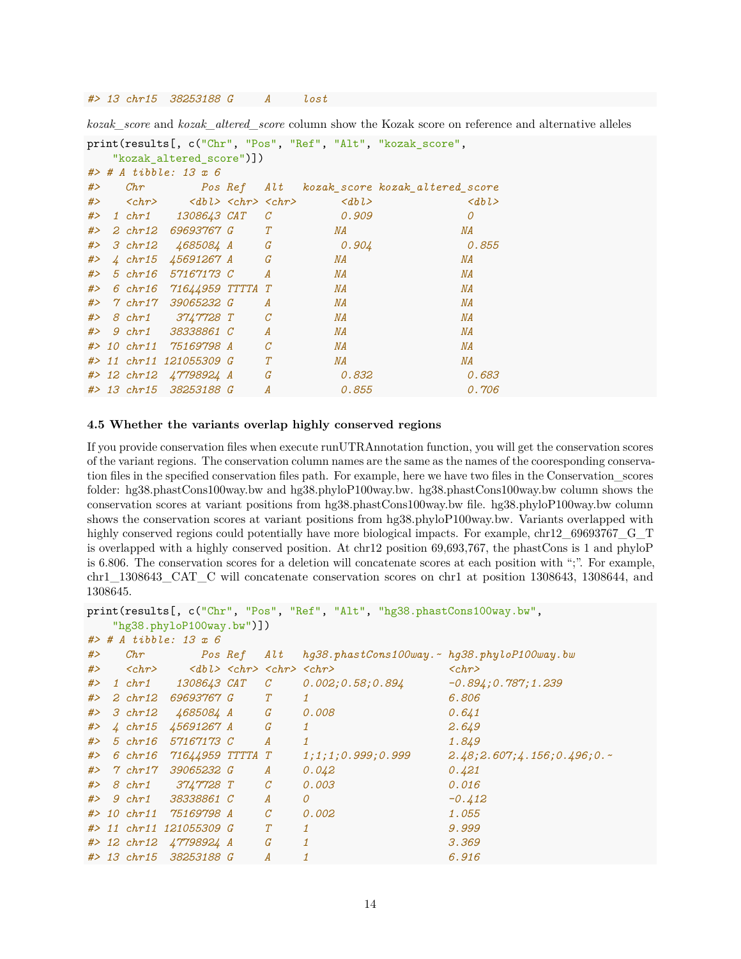#### *#> 13 chr15 38253188 G A lost*

*kozak\_score* and *kozak\_altered\_score* column show the Kozak score on reference and alternative alleles

```
print(results[, c("Chr", "Pos", "Ref", "Alt", "kozak score",
  "kozak_altered_score")])
#> # A tibble: 13 x 6
#> Chr Pos Ref Alt kozak_score kozak_altered_score
#> <chr> <dbl> <chr> <chr> <dbl> <dbl>
#> 1 chr1 1308643 CAT C 0.909 0
#> 2 chr12 69693767 G T NA NA
#> 3 chr12 4685084 A G 0.904 0.855
#> 4 chr15 45691267 A G NA NA
#> 5 chr16 57167173 C A NA NA
#> 6 chr16 71644959 TTTTA T NA NA
#> 7 chr17 39065232 G A NA NA
#> 8 chr1 3747728 T C NA NA
#> 9 chr1 38338861 C A NA NA
#> 10 chr11 75169798 A C NA NA
#> 11 chr11 121055309 G T NA NA
#> 12 chr12 47798924 A G 0.832 0.683
#> 13 chr15 38253188 G A 0.855 0.706
```
#### <span id="page-13-0"></span>**4.5 Whether the variants overlap highly conserved regions**

If you provide conservation files when execute runUTRAnnotation function, you will get the conservation scores of the variant regions. The conservation column names are the same as the names of the cooresponding conservation files in the specified conservation files path. For example, here we have two files in the Conservation\_scores folder: hg38.phastCons100way.bw and hg38.phyloP100way.bw. hg38.phastCons100way.bw column shows the conservation scores at variant positions from hg38.phastCons100way.bw file. hg38.phyloP100way.bw column shows the conservation scores at variant positions from hg38.phyloP100way.bw. Variants overlapped with highly conserved regions could potentially have more biological impacts. For example, chr12\_69693767\_G\_T is overlapped with a highly conserved position. At chr12 position 69,693,767, the phastCons is 1 and phyloP is 6.806. The conservation scores for a deletion will concatenate scores at each position with ";". For example, chr1\_1308643\_CAT\_C will concatenate conservation scores on chr1 at position 1308643, 1308644, and 1308645.

```
print(results[, c("Chr", "Pos", "Ref", "Alt", "hg38.phastCons100way.bw",
  "hg38.phyloP100way.bw")])
#> # A tibble: 13 x 6
#> Chr Pos Ref Alt hg38.phastCons100way.~ hg38.phyloP100way.bw
#> <chr> <dbl> <chr> <chr> <chr> <chr>
#> 1 chr1 1308643 CAT C 0.002;0.58;0.894 -0.894;0.787;1.239
#> 2 chr12 69693767 G T 1 6.806
#> 3 chr12 4685084 A G 0.008 0.641
#> 4 chr15 45691267 A G 1 2.649
#> 5 chr16 57167173 C A 1 1.849
#> 6 chr16 71644959 TTTTA T 1;1;1;0.999;0.999 2.48;2.607;4.156;0.496;0.~
#> 7 chr17 39065232 G A 0.042 0.421
#> 8 chr1 3747728 T C 0.003 0.016
#> 9 chr1 38338861 C A 0 -0.412
#> 10 chr11 75169798 A C 0.002 1.055
#> 11 chr11 121055309 G T 1 9.999
#> 12 chr12 47798924 A G 1 3.369
#> 13 chr15 38253188 G A 1 6.916
```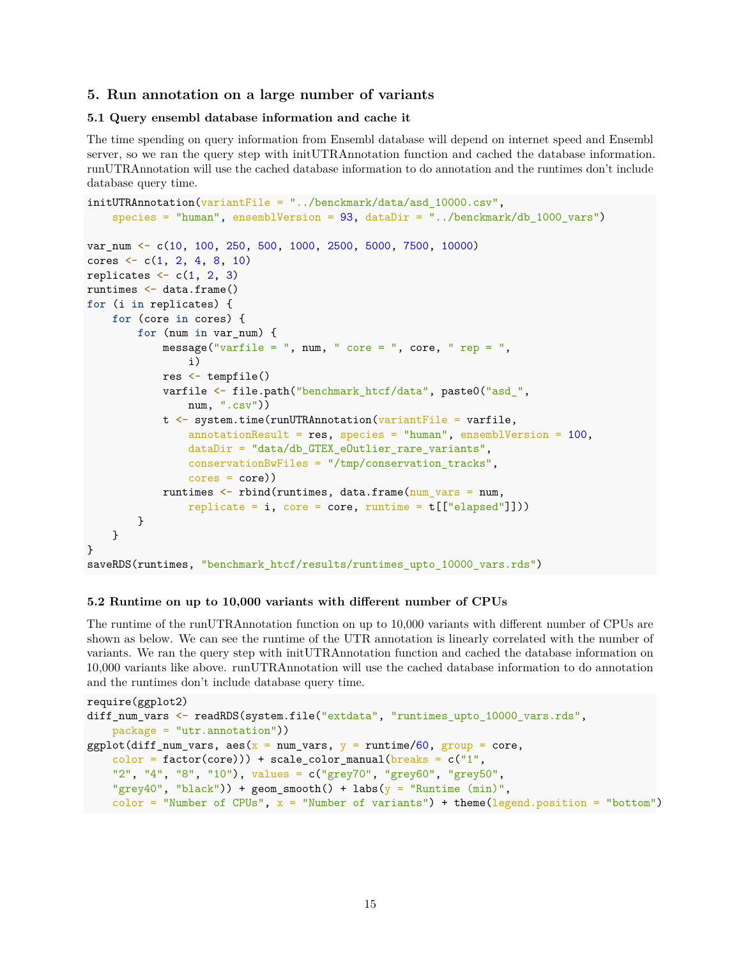#### <span id="page-14-0"></span>**5. Run annotation on a large number of variants**

#### <span id="page-14-1"></span>**5.1 Query ensembl database information and cache it**

The time spending on query information from Ensembl database will depend on internet speed and Ensembl server, so we ran the query step with initUTRAnnotation function and cached the database information. runUTRAnnotation will use the cached database information to do annotation and the runtimes don't include database query time.

```
initUTRAnnotation(variantFile = "../benckmark/data/asd 10000.csv",species = "human", ensemblVersion = 93, dataDir = "../benckmark/db 1000 vars")
var_num <- c(10, 100, 250, 500, 1000, 2500, 5000, 7500, 10000)
cores \leftarrow c(1, 2, 4, 8, 10)
replicates \leftarrow c(1, 2, 3)
runtimes <- data.frame()
for (i in replicates) {
    for (core in cores) {
        for (num in var_num) {
             message("varfile = ", num, " core = ", core, " rep = ",
                 i)
             res <- tempfile()
             varfile <- file.path("benchmark_htcf/data", paste0("asd_",
                 num, ", \text{csv"})t <- system.time(runUTRAnnotation(variantFile = varfile,
                 \text{annotationResult} = \text{res}, \text{species} = \text{"human", ensemble} \times \text{100},dataDir = "data/db_GTEX_eOutlier_rare_variants",
                 conservationBwFiles = \frac{m}{\text{tmp}}/conservation tracks",
                 cores = core))
             runtimes <- rbind(runtimes, data.frame(num_vars = num,
                 replicate = i, core = core, runtime = t[["elapse d"]]))}
    }
}
saveRDS(runtimes, "benchmark_htcf/results/runtimes_upto_10000_vars.rds")
```
#### <span id="page-14-2"></span>**5.2 Runtime on up to 10,000 variants with different number of CPUs**

The runtime of the runUTRAnnotation function on up to 10,000 variants with different number of CPUs are shown as below. We can see the runtime of the UTR annotation is linearly correlated with the number of variants. We ran the query step with initUTRAnnotation function and cached the database information on 10,000 variants like above. runUTRAnnotation will use the cached database information to do annotation and the runtimes don't include database query time.

```
require(ggplot2)
diff_num_vars <- readRDS(system.file("extdata", "runtimes_upto_10000_vars.rds",
   package = "utr.annotation"))
ggplot(diff_num_vars, aes(x = num_vars, y = runtime/60, group = core,
    color = factor(core)) + scale_color_manual(breaks = c("1",
    "2", "4", "8", "10"), values = c("grey70", "grey60", "grey50",
    "grey40", "black")) + geom_smooth() + labs(y = "Runtime (min)",
   color = "Number of CPUs", x = "Number of variants") + theme(legend.position = "bottom")
```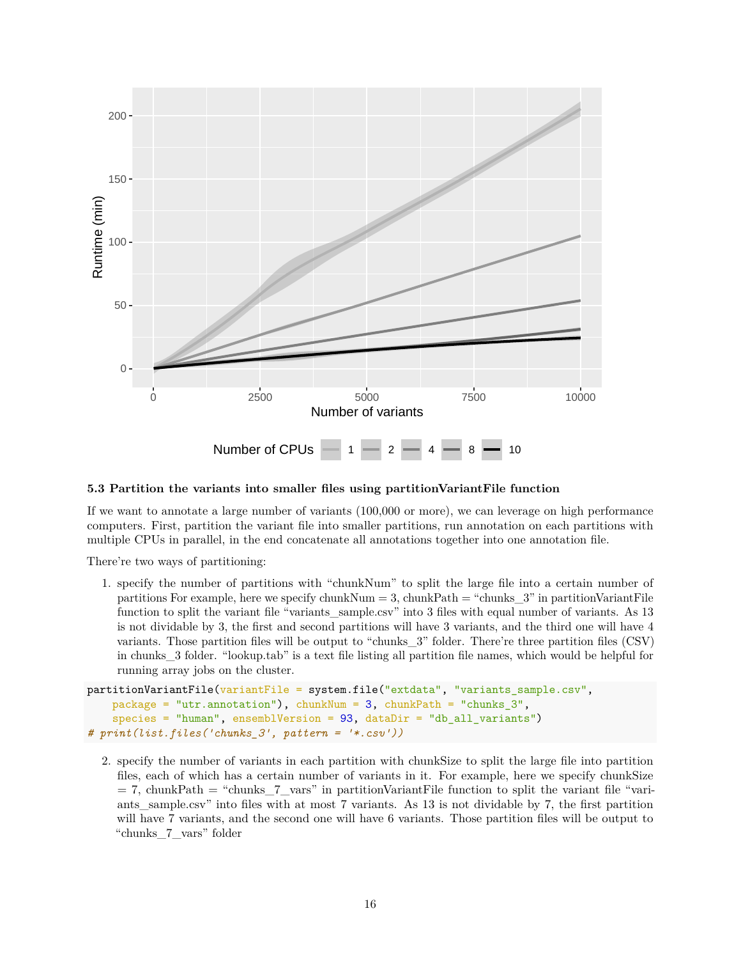

#### <span id="page-15-0"></span>**5.3 Partition the variants into smaller files using partitionVariantFile function**

If we want to annotate a large number of variants (100,000 or more), we can leverage on high performance computers. First, partition the variant file into smaller partitions, run annotation on each partitions with multiple CPUs in parallel, in the end concatenate all annotations together into one annotation file.

There're two ways of partitioning:

1. specify the number of partitions with "chunkNum" to split the large file into a certain number of partitions For example, here we specify chunkNum = 3, chunkPath = "chunks\_3" in partitionVariantFile function to split the variant file "variants\_sample.csv" into 3 files with equal number of variants. As 13 is not dividable by 3, the first and second partitions will have 3 variants, and the third one will have 4 variants. Those partition files will be output to "chunks\_3" folder. There're three partition files (CSV) in chunks\_3 folder. "lookup.tab" is a text file listing all partition file names, which would be helpful for running array jobs on the cluster.

```
partitionVariantFile(variantFile = system.file("extdata", "variants_sample.csv",
    package = "utr.annotation"), chunkNum = 3, chunkPath = "chunks_3",
    species = "human", ensemblVersion = 93, dataDir = "db_all_variants")
# print(list.files('chunks_3', pattern = '*.csv'))
```
2. specify the number of variants in each partition with chunkSize to split the large file into partition files, each of which has a certain number of variants in it. For example, here we specify chunkSize  $= 7$ , chunkPath = "chunks\_7\_vars" in partitionVariantFile function to split the variant file "variants\_sample.csv" into files with at most 7 variants. As 13 is not dividable by 7, the first partition will have 7 variants, and the second one will have 6 variants. Those partition files will be output to "chunks\_7\_vars" folder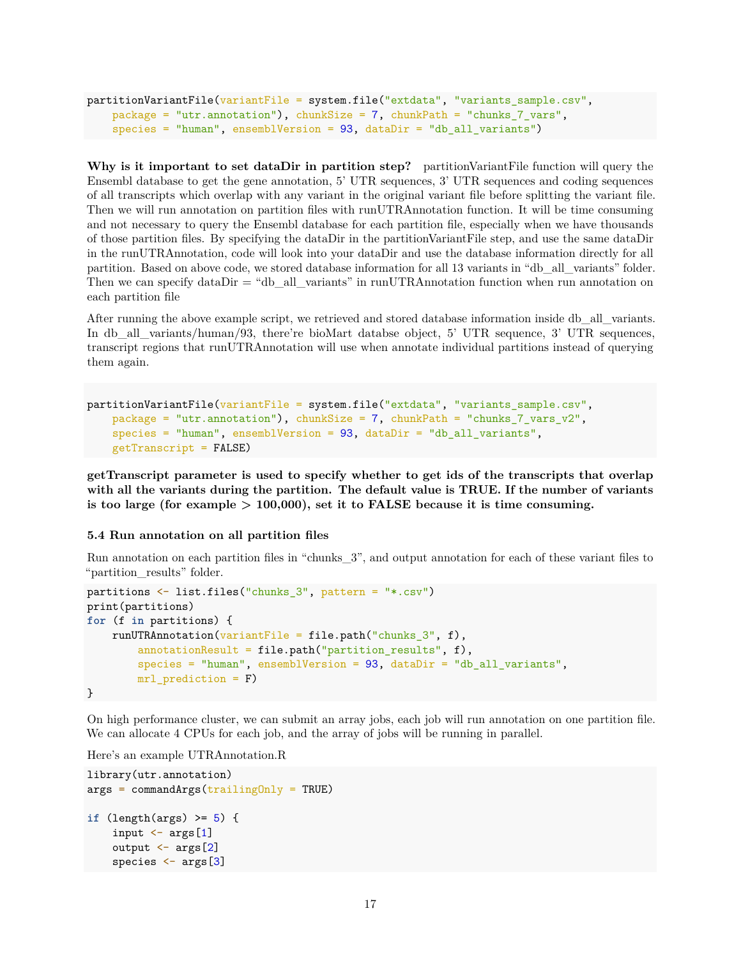```
partitionVariantFile(variantFile = system.file("extdata", "variants_sample.csv",
    package = "utr.annotation"), chunkSize = 7, chunkPath = "chunks_7_vars",
   species = "human", ensemblVersion = 93, dataDir = "db all variants")
```
**Why is it important to set dataDir in partition step?** partitionVariantFile function will query the Ensembl database to get the gene annotation, 5' UTR sequences, 3' UTR sequences and coding sequences of all transcripts which overlap with any variant in the original variant file before splitting the variant file. Then we will run annotation on partition files with runUTRAnnotation function. It will be time consuming and not necessary to query the Ensembl database for each partition file, especially when we have thousands of those partition files. By specifying the dataDir in the partitionVariantFile step, and use the same dataDir in the runUTRAnnotation, code will look into your dataDir and use the database information directly for all partition. Based on above code, we stored database information for all 13 variants in "db\_all\_variants" folder. Then we can specify dataDir = "db\_all\_variants" in runUTRAnnotation function when run annotation on each partition file

After running the above example script, we retrieved and stored database information inside db\_all\_variants. In db\_all\_variants/human/93, there're bioMart databse object, 5' UTR sequence, 3' UTR sequences, transcript regions that runUTRAnnotation will use when annotate individual partitions instead of querying them again.

```
partitionVariantFile(variantFile = system.file("extdata", "variants_sample.csv",
   package = "utr.annotation"), chunkSize = 7, chunkPath = "chunks_7_vars_v2",
   species = "human", ensemblVersion = 93, dataDir = "db_all_variants",
   getTranscript = FALSE)
```
**getTranscript parameter is used to specify whether to get ids of the transcripts that overlap with all the variants during the partition. The default value is TRUE. If the number of variants is too large (for example > 100,000), set it to FALSE because it is time consuming.**

### <span id="page-16-0"></span>**5.4 Run annotation on all partition files**

Run annotation on each partition files in "chunks\_3", and output annotation for each of these variant files to "partition results" folder.

```
partitions <- list.files("chunks_3", pattern = "*.csv")
print(partitions)
for (f in partitions) {
    runUTRAnnotation(variantFile = file.path("chunks_3", f),annotationResult = file.path("partition_results", f),
        species = "human", ensemblVersion = 93, dataDir = "db_all_variants",
        mrl_prediction = F)
}
```
On high performance cluster, we can submit an array jobs, each job will run annotation on one partition file. We can allocate 4 CPUs for each job, and the array of jobs will be running in parallel.

Here's an example UTRAnnotation.R

```
library(utr.annotation)
args = commandArgs(trainingOnly = TRUE)if (length(args) >= 5) {
    input \leftarrow args[1]
    output <- args[2]
    species <- args[3]
```